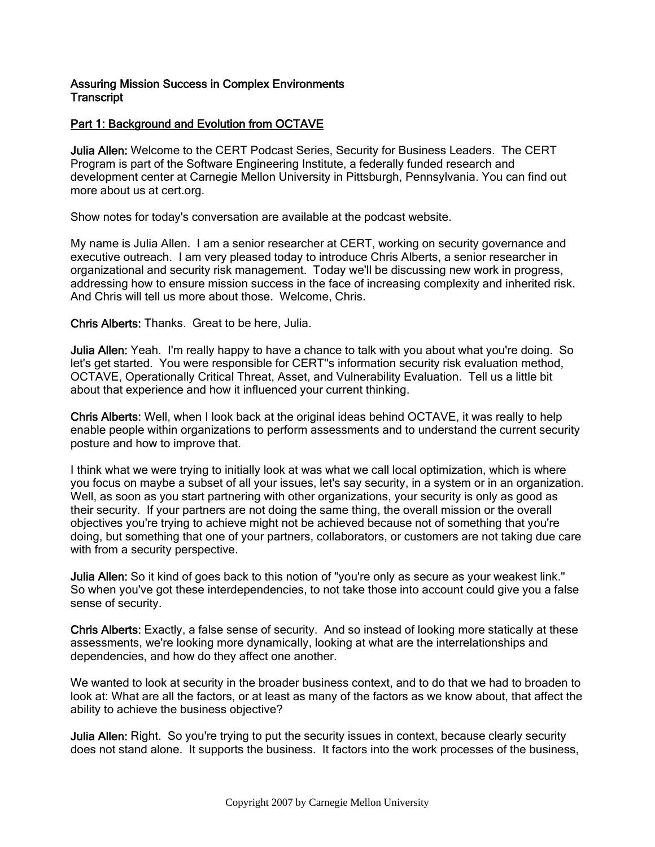## Assuring Mission Success in Complex Environments **Transcript**

# Part 1: Background and Evolution from OCTAVE

Julia Allen: Welcome to the CERT Podcast Series, Security for Business Leaders. The CERT Program is part of the Software Engineering Institute, a federally funded research and development center at Carnegie Mellon University in Pittsburgh, Pennsylvania. You can find out more about us at cert.org.

Show notes for today's conversation are available at the podcast website.

My name is Julia Allen. I am a senior researcher at CERT, working on security governance and executive outreach. I am very pleased today to introduce Chris Alberts, a senior researcher in organizational and security risk management. Today we'll be discussing new work in progress, addressing how to ensure mission success in the face of increasing complexity and inherited risk. And Chris will tell us more about those. Welcome, Chris.

Chris Alberts: Thanks. Great to be here, Julia.

Julia Allen: Yeah. I'm really happy to have a chance to talk with you about what you're doing. So let's get started. You were responsible for CERT''s information security risk evaluation method, OCTAVE, Operationally Critical Threat, Asset, and Vulnerability Evaluation. Tell us a little bit about that experience and how it influenced your current thinking.

Chris Alberts: Well, when I look back at the original ideas behind OCTAVE, it was really to help enable people within organizations to perform assessments and to understand the current security posture and how to improve that.

I think what we were trying to initially look at was what we call local optimization, which is where you focus on maybe a subset of all your issues, let's say security, in a system or in an organization. Well, as soon as you start partnering with other organizations, your security is only as good as their security. If your partners are not doing the same thing, the overall mission or the overall objectives you're trying to achieve might not be achieved because not of something that you're doing, but something that one of your partners, collaborators, or customers are not taking due care with from a security perspective.

Julia Allen: So it kind of goes back to this notion of "you're only as secure as your weakest link." So when you've got these interdependencies, to not take those into account could give you a false sense of security.

Chris Alberts: Exactly, a false sense of security. And so instead of looking more statically at these assessments, we're looking more dynamically, looking at what are the interrelationships and dependencies, and how do they affect one another.

We wanted to look at security in the broader business context, and to do that we had to broaden to look at: What are all the factors, or at least as many of the factors as we know about, that affect the ability to achieve the business objective?

**Julia Allen:** Right. So you're trying to put the security issues in context, because clearly security does not stand alone. It supports the business. It factors into the work processes of the business,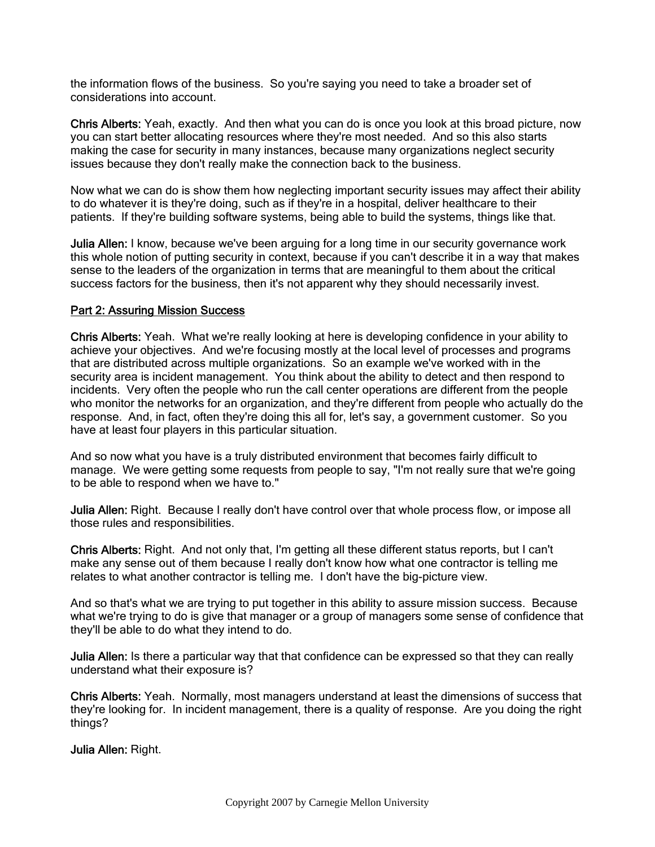the information flows of the business. So you're saying you need to take a broader set of considerations into account.

Chris Alberts: Yeah, exactly. And then what you can do is once you look at this broad picture, now you can start better allocating resources where they're most needed. And so this also starts making the case for security in many instances, because many organizations neglect security issues because they don't really make the connection back to the business.

Now what we can do is show them how neglecting important security issues may affect their ability to do whatever it is they're doing, such as if they're in a hospital, deliver healthcare to their patients. If they're building software systems, being able to build the systems, things like that.

Julia Allen: I know, because we've been arguing for a long time in our security governance work this whole notion of putting security in context, because if you can't describe it in a way that makes sense to the leaders of the organization in terms that are meaningful to them about the critical success factors for the business, then it's not apparent why they should necessarily invest.

#### Part 2: Assuring Mission Success

Chris Alberts: Yeah. What we're really looking at here is developing confidence in your ability to achieve your objectives. And we're focusing mostly at the local level of processes and programs that are distributed across multiple organizations. So an example we've worked with in the security area is incident management. You think about the ability to detect and then respond to incidents. Very often the people who run the call center operations are different from the people who monitor the networks for an organization, and they're different from people who actually do the response. And, in fact, often they're doing this all for, let's say, a government customer. So you have at least four players in this particular situation.

And so now what you have is a truly distributed environment that becomes fairly difficult to manage. We were getting some requests from people to say, "I'm not really sure that we're going to be able to respond when we have to."

Julia Allen: Right. Because I really don't have control over that whole process flow, or impose all those rules and responsibilities.

Chris Alberts: Right. And not only that, I'm getting all these different status reports, but I can't make any sense out of them because I really don't know how what one contractor is telling me relates to what another contractor is telling me. I don't have the big-picture view.

And so that's what we are trying to put together in this ability to assure mission success. Because what we're trying to do is give that manager or a group of managers some sense of confidence that they'll be able to do what they intend to do.

Julia Allen: Is there a particular way that that confidence can be expressed so that they can really understand what their exposure is?

Chris Alberts: Yeah. Normally, most managers understand at least the dimensions of success that they're looking for. In incident management, there is a quality of response. Are you doing the right things?

Julia Allen: Right.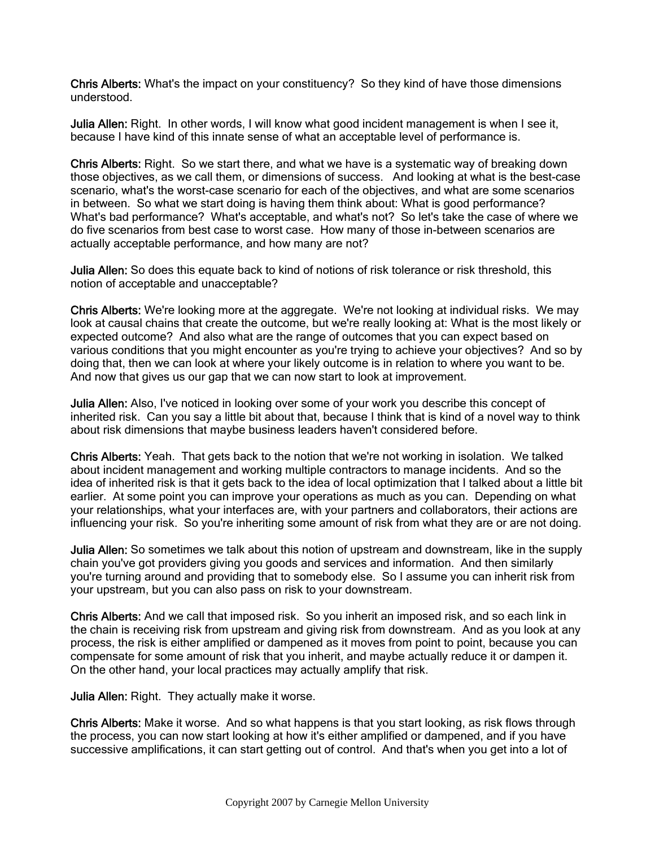Chris Alberts: What's the impact on your constituency? So they kind of have those dimensions understood.

Julia Allen: Right. In other words, I will know what good incident management is when I see it, because I have kind of this innate sense of what an acceptable level of performance is.

Chris Alberts: Right. So we start there, and what we have is a systematic way of breaking down those objectives, as we call them, or dimensions of success. And looking at what is the best-case scenario, what's the worst-case scenario for each of the objectives, and what are some scenarios in between. So what we start doing is having them think about: What is good performance? What's bad performance? What's acceptable, and what's not? So let's take the case of where we do five scenarios from best case to worst case. How many of those in-between scenarios are actually acceptable performance, and how many are not?

Julia Allen: So does this equate back to kind of notions of risk tolerance or risk threshold, this notion of acceptable and unacceptable?

Chris Alberts: We're looking more at the aggregate. We're not looking at individual risks. We may look at causal chains that create the outcome, but we're really looking at: What is the most likely or expected outcome? And also what are the range of outcomes that you can expect based on various conditions that you might encounter as you're trying to achieve your objectives? And so by doing that, then we can look at where your likely outcome is in relation to where you want to be. And now that gives us our gap that we can now start to look at improvement.

Julia Allen: Also, I've noticed in looking over some of your work you describe this concept of inherited risk. Can you say a little bit about that, because I think that is kind of a novel way to think about risk dimensions that maybe business leaders haven't considered before.

Chris Alberts: Yeah. That gets back to the notion that we're not working in isolation. We talked about incident management and working multiple contractors to manage incidents. And so the idea of inherited risk is that it gets back to the idea of local optimization that I talked about a little bit earlier. At some point you can improve your operations as much as you can. Depending on what your relationships, what your interfaces are, with your partners and collaborators, their actions are influencing your risk. So you're inheriting some amount of risk from what they are or are not doing.

Julia Allen: So sometimes we talk about this notion of upstream and downstream, like in the supply chain you've got providers giving you goods and services and information. And then similarly you're turning around and providing that to somebody else. So I assume you can inherit risk from your upstream, but you can also pass on risk to your downstream.

Chris Alberts: And we call that imposed risk. So you inherit an imposed risk, and so each link in the chain is receiving risk from upstream and giving risk from downstream. And as you look at any process, the risk is either amplified or dampened as it moves from point to point, because you can compensate for some amount of risk that you inherit, and maybe actually reduce it or dampen it. On the other hand, your local practices may actually amplify that risk.

Julia Allen: Right. They actually make it worse.

Chris Alberts: Make it worse. And so what happens is that you start looking, as risk flows through the process, you can now start looking at how it's either amplified or dampened, and if you have successive amplifications, it can start getting out of control. And that's when you get into a lot of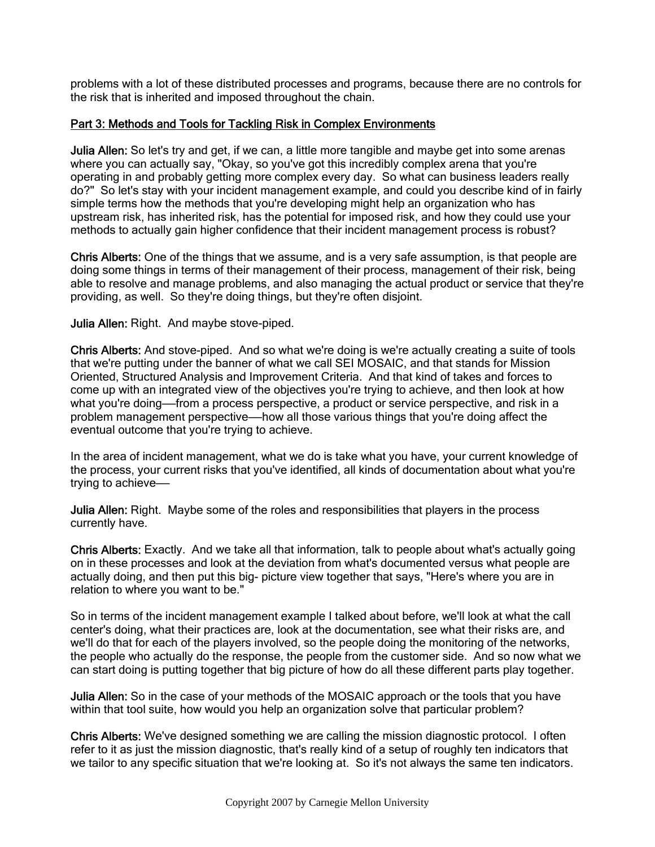problems with a lot of these distributed processes and programs, because there are no controls for the risk that is inherited and imposed throughout the chain.

## Part 3: Methods and Tools for Tackling Risk in Complex Environments

Julia Allen: So let's try and get, if we can, a little more tangible and maybe get into some arenas where you can actually say, "Okay, so you've got this incredibly complex arena that you're operating in and probably getting more complex every day. So what can business leaders really do?" So let's stay with your incident management example, and could you describe kind of in fairly simple terms how the methods that you're developing might help an organization who has upstream risk, has inherited risk, has the potential for imposed risk, and how they could use your methods to actually gain higher confidence that their incident management process is robust?

Chris Alberts: One of the things that we assume, and is a very safe assumption, is that people are doing some things in terms of their management of their process, management of their risk, being able to resolve and manage problems, and also managing the actual product or service that they're providing, as well. So they're doing things, but they're often disjoint.

Julia Allen: Right. And maybe stove-piped.

Chris Alberts: And stove-piped. And so what we're doing is we're actually creating a suite of tools that we're putting under the banner of what we call SEI MOSAIC, and that stands for Mission Oriented, Structured Analysis and Improvement Criteria. And that kind of takes and forces to come up with an integrated view of the objectives you're trying to achieve, and then look at how what you're doing——from a process perspective, a product or service perspective, and risk in a problem management perspective——how all those various things that you're doing affect the eventual outcome that you're trying to achieve.

In the area of incident management, what we do is take what you have, your current knowledge of the process, your current risks that you've identified, all kinds of documentation about what you're trying to achieve-

Julia Allen: Right. Maybe some of the roles and responsibilities that players in the process currently have.

Chris Alberts: Exactly. And we take all that information, talk to people about what's actually going on in these processes and look at the deviation from what's documented versus what people are actually doing, and then put this big- picture view together that says, "Here's where you are in relation to where you want to be."

So in terms of the incident management example I talked about before, we'll look at what the call center's doing, what their practices are, look at the documentation, see what their risks are, and we'll do that for each of the players involved, so the people doing the monitoring of the networks, the people who actually do the response, the people from the customer side. And so now what we can start doing is putting together that big picture of how do all these different parts play together.

Julia Allen: So in the case of your methods of the MOSAIC approach or the tools that you have within that tool suite, how would you help an organization solve that particular problem?

Chris Alberts: We've designed something we are calling the mission diagnostic protocol. I often refer to it as just the mission diagnostic, that's really kind of a setup of roughly ten indicators that we tailor to any specific situation that we're looking at. So it's not always the same ten indicators.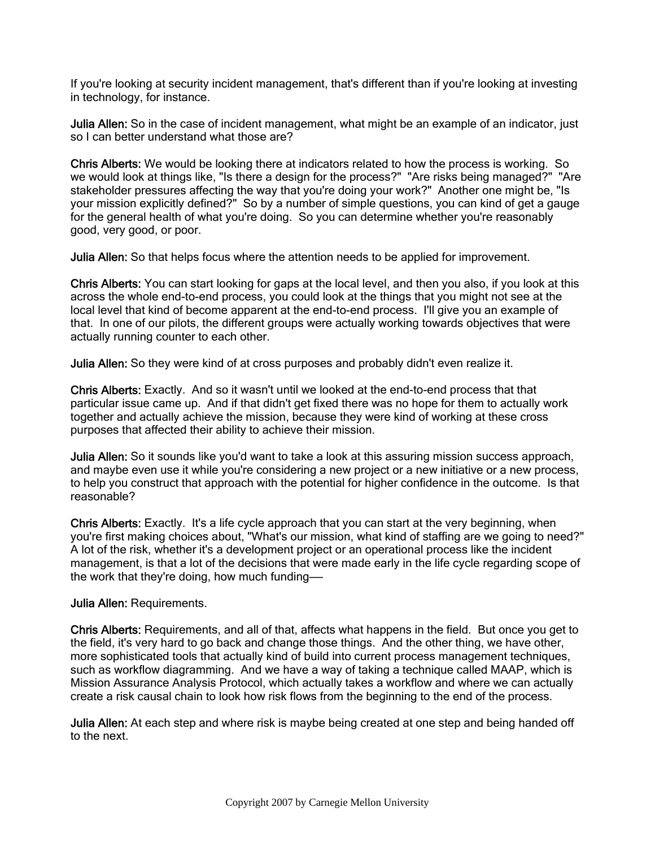If you're looking at security incident management, that's different than if you're looking at investing in technology, for instance.

Julia Allen: So in the case of incident management, what might be an example of an indicator, just so I can better understand what those are?

Chris Alberts: We would be looking there at indicators related to how the process is working. So we would look at things like, "Is there a design for the process?" "Are risks being managed?" "Are stakeholder pressures affecting the way that you're doing your work?" Another one might be, "Is your mission explicitly defined?" So by a number of simple questions, you can kind of get a gauge for the general health of what you're doing. So you can determine whether you're reasonably good, very good, or poor.

Julia Allen: So that helps focus where the attention needs to be applied for improvement.

Chris Alberts: You can start looking for gaps at the local level, and then you also, if you look at this across the whole end-to-end process, you could look at the things that you might not see at the local level that kind of become apparent at the end-to-end process. I'll give you an example of that. In one of our pilots, the different groups were actually working towards objectives that were actually running counter to each other.

Julia Allen: So they were kind of at cross purposes and probably didn't even realize it.

Chris Alberts: Exactly. And so it wasn't until we looked at the end-to-end process that that particular issue came up. And if that didn't get fixed there was no hope for them to actually work together and actually achieve the mission, because they were kind of working at these cross purposes that affected their ability to achieve their mission.

Julia Allen: So it sounds like you'd want to take a look at this assuring mission success approach, and maybe even use it while you're considering a new project or a new initiative or a new process, to help you construct that approach with the potential for higher confidence in the outcome. Is that reasonable?

Chris Alberts: Exactly. It's a life cycle approach that you can start at the very beginning, when you're first making choices about, "What's our mission, what kind of staffing are we going to need?" A lot of the risk, whether it's a development project or an operational process like the incident management, is that a lot of the decisions that were made early in the life cycle regarding scope of the work that they're doing, how much funding——

## Julia Allen: Requirements.

Chris Alberts: Requirements, and all of that, affects what happens in the field. But once you get to the field, it's very hard to go back and change those things. And the other thing, we have other, more sophisticated tools that actually kind of build into current process management techniques, such as workflow diagramming. And we have a way of taking a technique called MAAP, which is Mission Assurance Analysis Protocol, which actually takes a workflow and where we can actually create a risk causal chain to look how risk flows from the beginning to the end of the process.

Julia Allen: At each step and where risk is maybe being created at one step and being handed off to the next.